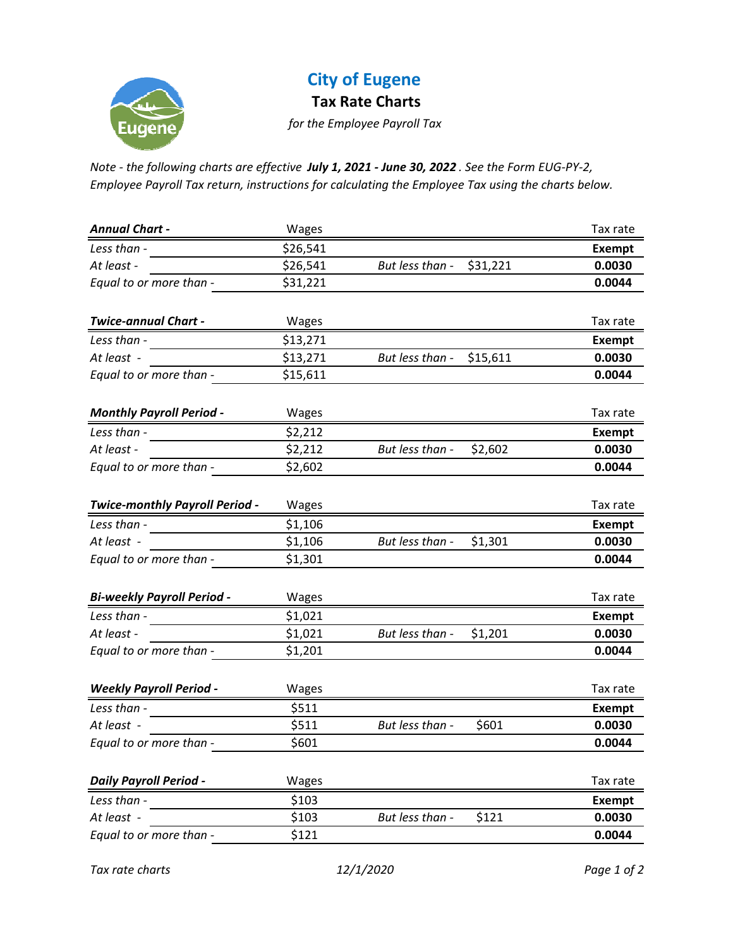

## **City of Eugene**

**Tax Rate Charts**

*for the Employee Payroll Tax*

Note - the following charts are effective July 1, 2021 - June 30, 2022. See the Form EUG-PY-2, *Employee Payroll Tax return, instructions for calculating the Employee Tax using the charts below.*

| <b>Annual Chart -</b>             | Wages    |                             | Tax rate      |
|-----------------------------------|----------|-----------------------------|---------------|
| Less than -                       | \$26,541 |                             | <b>Exempt</b> |
| At least -                        | \$26,541 | But less than -<br>\$31,221 | 0.0030        |
| Equal to or more than -           | \$31,221 |                             | 0.0044        |
|                                   |          |                             |               |
| <b>Twice-annual Chart -</b>       | Wages    |                             | Tax rate      |
| Less than -                       | \$13,271 |                             | <b>Exempt</b> |
| At least -                        | \$13,271 | But less than -<br>\$15,611 | 0.0030        |
| Equal to or more than -           | \$15,611 |                             | 0.0044        |
| <b>Monthly Payroll Period -</b>   | Wages    |                             | Tax rate      |
| Less than -                       | \$2,212  |                             | <b>Exempt</b> |
| At least -                        | \$2,212  | But less than -<br>\$2,602  | 0.0030        |
| Equal to or more than -           | \$2,602  |                             | 0.0044        |
|                                   |          |                             |               |
| Twice-monthly Payroll Period -    | Wages    |                             | Tax rate      |
| Less than -                       | \$1,106  |                             | <b>Exempt</b> |
| At least -                        | \$1,106  | But less than -<br>\$1,301  | 0.0030        |
| Equal to or more than -           | \$1,301  |                             | 0.0044        |
| <b>Bi-weekly Payroll Period -</b> | Wages    |                             | Tax rate      |
| Less than -                       | \$1,021  |                             | <b>Exempt</b> |
| At least -                        | \$1,021  | But less than -<br>\$1,201  | 0.0030        |
| Equal to or more than -           | \$1,201  |                             | 0.0044        |
| <b>Weekly Payroll Period -</b>    | Wages    |                             | Tax rate      |
| Less than -                       | \$511    |                             | <b>Exempt</b> |
| At least -                        | \$511    | But less than -<br>\$601    | 0.0030        |
| Equal to or more than -           | \$601    |                             | 0.0044        |
| <b>Daily Payroll Period -</b>     | Wages    |                             | Tax rate      |
| Less than -                       | \$103    |                             | <b>Exempt</b> |
| At least -                        | \$103    | But less than -<br>\$121    | 0.0030        |
| Equal to or more than -           | \$121    |                             | 0.0044        |

*Tax rate charts 12/1/2020 Page 1 of 2*